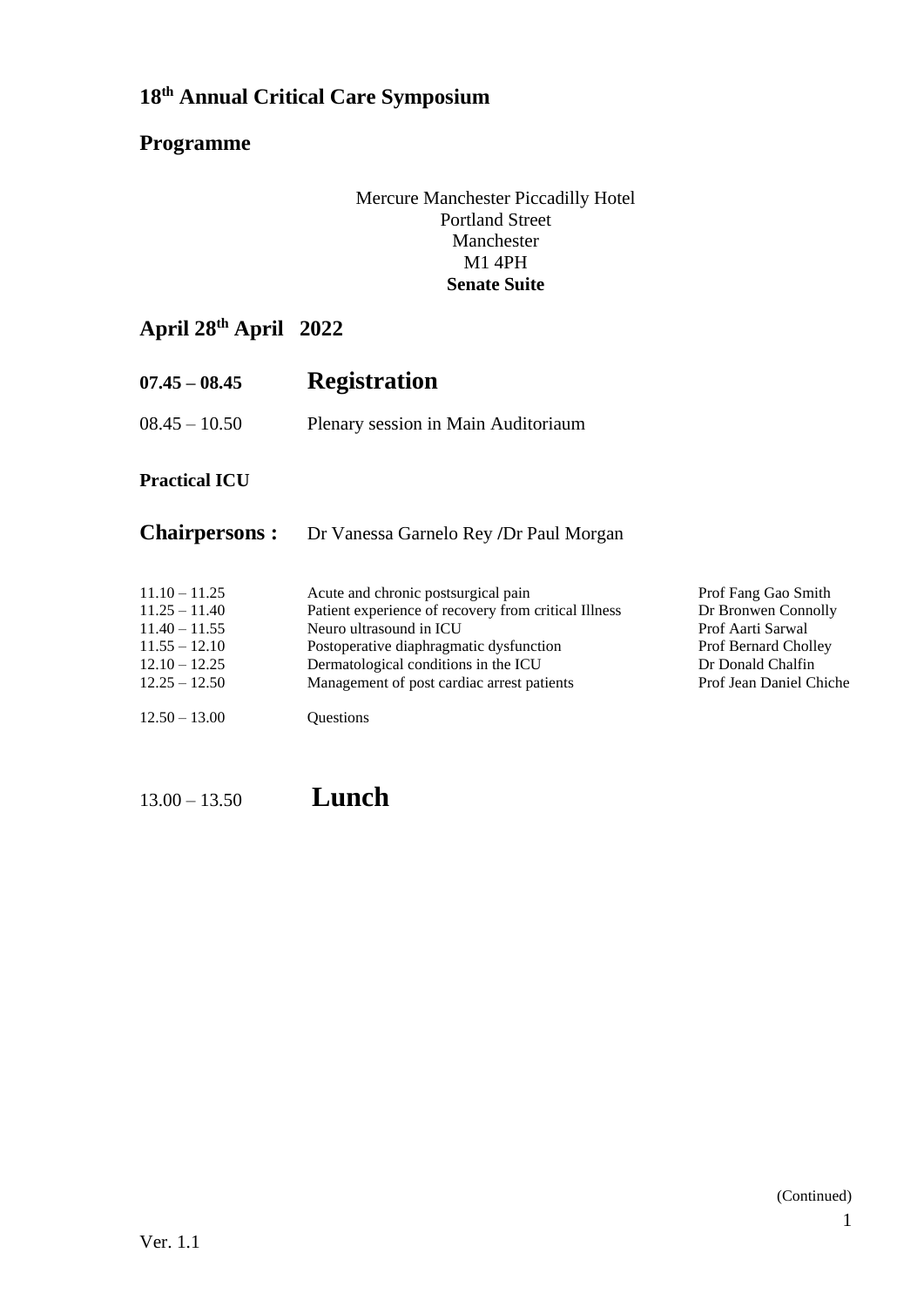### **Programme**

#### Mercure Manchester Piccadilly Hotel Portland Street Manchester M1 4PH **Senate Suite**

# **April 28th April 2022**

| $07.45 - 08.45$ | <b>Registration</b>                 |
|-----------------|-------------------------------------|
| $08.45 - 10.50$ | Plenary session in Main Auditoriaum |

#### **Practical ICU**

#### **Chairpersons :** Dr Vanessa Garnelo Rey **/**Dr Paul Morgan

| $11.10 - 11.25$<br>$11.25 - 11.40$ | Acute and chronic postsurgical pain<br>Patient experience of recovery from critical Illness | Prof Fang Gao Smith<br>Dr Bronwen Connolly |
|------------------------------------|---------------------------------------------------------------------------------------------|--------------------------------------------|
| $11.40 - 11.55$                    | Neuro ultrasound in ICU                                                                     | Prof Aarti Sarwal                          |
| $11.55 - 12.10$                    | Postoperative diaphragmatic dysfunction                                                     | <b>Prof Bernard Cholley</b>                |
| $12.10 - 12.25$                    | Dermatological conditions in the ICU                                                        | Dr Donald Chalfin                          |
| $12.25 - 12.50$                    | Management of post cardiac arrest patients                                                  | Prof Jean Daniel Chiche                    |
| $12.50 - 13.00$                    | <b>Ouestions</b>                                                                            |                                            |

13.00 – 13.50 **Lunch**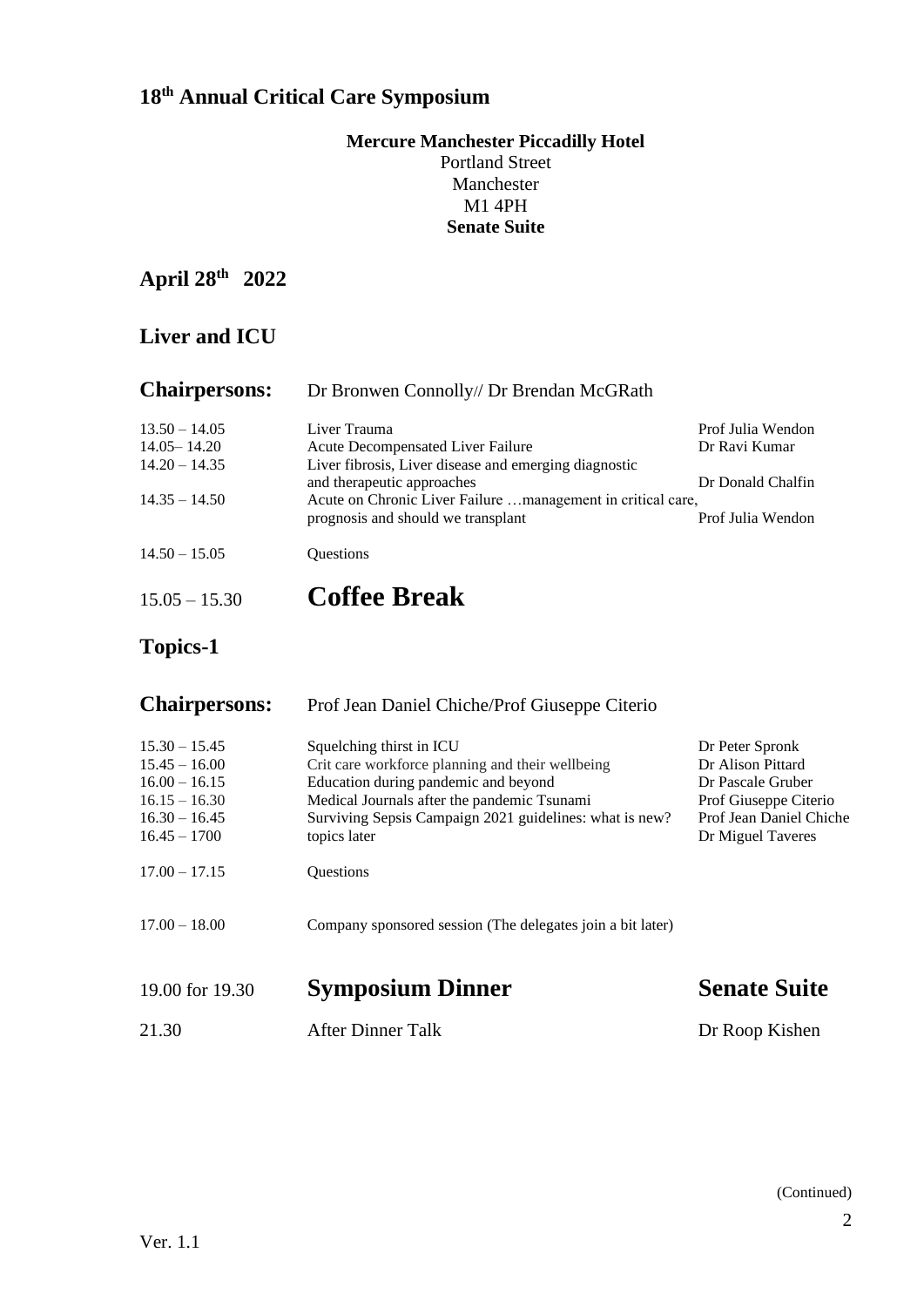#### **Mercure Manchester Piccadilly Hotel** Portland Street Manchester M1 4PH **Senate Suite**

## **April 28th 2022**

## **Liver and ICU**

| <b>Chairpersons:</b>               | Dr Bronwen Connolly// Dr Brendan McGRath                                                          |                   |
|------------------------------------|---------------------------------------------------------------------------------------------------|-------------------|
| $13.50 - 14.05$                    | Liver Trauma                                                                                      | Prof Julia Wendon |
| $14.05 - 14.20$<br>$14.20 - 14.35$ | <b>Acute Decompensated Liver Failure</b><br>Liver fibrosis, Liver disease and emerging diagnostic | Dr Ravi Kumar     |
|                                    | and therapeutic approaches                                                                        | Dr Donald Chalfin |
| $14.35 - 14.50$                    | Acute on Chronic Liver Failure management in critical care,<br>prognosis and should we transplant | Prof Julia Wendon |
| $14.50 - 15.05$                    | <b>Ouestions</b>                                                                                  |                   |
| $15.05 - 15.30$                    | <b>Coffee Break</b>                                                                               |                   |

# **Topics-1**

| <b>Chairpersons:</b>                                                                                          | Prof Jean Daniel Chiche/Prof Giuseppe Citerio                                                                                                                                                                                                  |                                                                                                                                    |
|---------------------------------------------------------------------------------------------------------------|------------------------------------------------------------------------------------------------------------------------------------------------------------------------------------------------------------------------------------------------|------------------------------------------------------------------------------------------------------------------------------------|
| $15.30 - 15.45$<br>$15.45 - 16.00$<br>$16.00 - 16.15$<br>$16.15 - 16.30$<br>$16.30 - 16.45$<br>$16.45 - 1700$ | Squelching thirst in ICU<br>Crit care workforce planning and their wellbeing<br>Education during pandemic and beyond<br>Medical Journals after the pandemic Tsunami<br>Surviving Sepsis Campaign 2021 guidelines: what is new?<br>topics later | Dr Peter Spronk<br>Dr Alison Pittard<br>Dr Pascale Gruber<br>Prof Giuseppe Citerio<br>Prof Jean Daniel Chiche<br>Dr Miguel Taveres |
| $17.00 - 17.15$                                                                                               | Questions                                                                                                                                                                                                                                      |                                                                                                                                    |
| $17.00 - 18.00$                                                                                               | Company sponsored session (The delegates join a bit later)                                                                                                                                                                                     |                                                                                                                                    |
| 19.00 for 19.30                                                                                               | <b>Symposium Dinner</b>                                                                                                                                                                                                                        | <b>Senate Suite</b>                                                                                                                |
| 21.30                                                                                                         | <b>After Dinner Talk</b>                                                                                                                                                                                                                       | Dr Roop Kishen                                                                                                                     |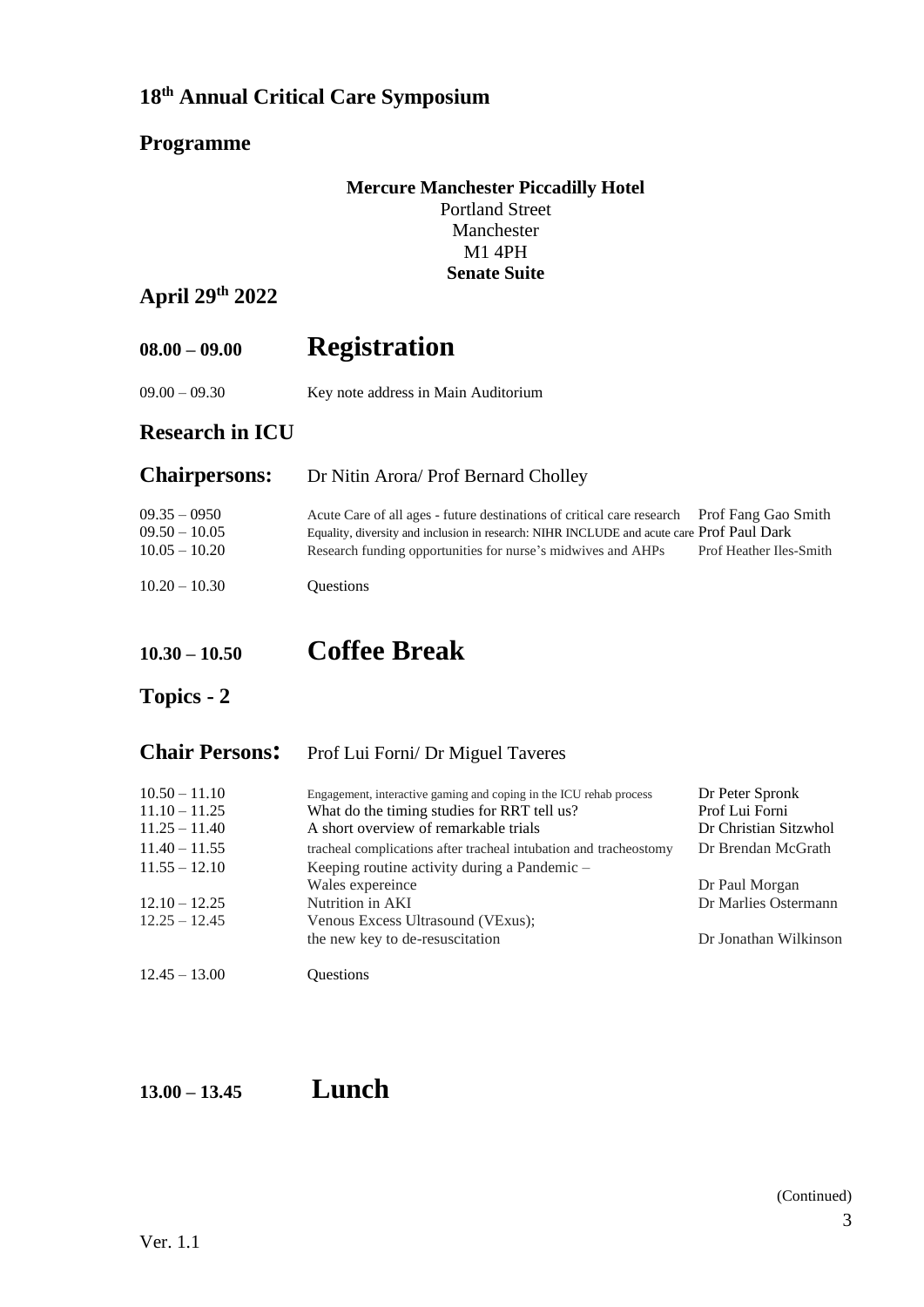#### **Programme**

#### **Mercure Manchester Piccadilly Hotel** Portland Street Manchester M1 4PH **Senate Suite**

#### **April 29 th 2022**

# **08.00 – 09.00 Registration**

09.00 – 09.30 Key note address in Main Auditorium

#### **Research in ICU**

| <b>Chairpersons:</b>                                 | Dr Nitin Arora/ Prof Bernard Cholley                                                                                                                                                                                                                    |                         |
|------------------------------------------------------|---------------------------------------------------------------------------------------------------------------------------------------------------------------------------------------------------------------------------------------------------------|-------------------------|
| $09.35 - 0950$<br>$09.50 - 10.05$<br>$10.05 - 10.20$ | Acute Care of all ages - future destinations of critical care research Prof Fang Gao Smith<br>Equality, diversity and inclusion in research: NIHR INCLUDE and acute care Prof Paul Dark<br>Research funding opportunities for nurse's midwives and AHPs | Prof Heather Iles-Smith |
| $10.20 - 10.30$                                      | <b>Ouestions</b>                                                                                                                                                                                                                                        |                         |

# **10.30 – 10.50 Coffee Break**

#### **Topics - 2**

#### **Chair Persons:** Prof Lui Forni/ Dr Miguel Taveres

| $10.50 - 11.10$<br>$11.10 - 11.25$<br>$11.25 - 11.40$ | Engagement, interactive gaming and coping in the ICU rehab process<br>What do the timing studies for RRT tell us?<br>A short overview of remarkable trials | Dr Peter Spronk<br>Prof Lui Forni<br>Dr Christian Sitzwhol |
|-------------------------------------------------------|------------------------------------------------------------------------------------------------------------------------------------------------------------|------------------------------------------------------------|
| $11.40 - 11.55$                                       | tracheal complications after tracheal intubation and tracheostomy                                                                                          | Dr Brendan McGrath                                         |
| $11.55 - 12.10$                                       | Keeping routine activity during a Pandemic -<br>Wales expereince                                                                                           | Dr Paul Morgan                                             |
| $12.10 - 12.25$                                       | Nutrition in AKI                                                                                                                                           | Dr Marlies Ostermann                                       |
| $12.25 - 12.45$                                       | Venous Excess Ultrasound (VExus);<br>the new key to de-resuscitation                                                                                       | Dr Jonathan Wilkinson                                      |
| $12.45 - 13.00$                                       | <b>Ouestions</b>                                                                                                                                           |                                                            |

## **13.00 – 13.45 Lunch**